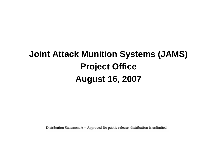# **Joint Attack Munition Systems (JAMS) Project Office August 16, 2007**

Distribution Statement  $A - A$ pproved for public release; distribution is unlimited.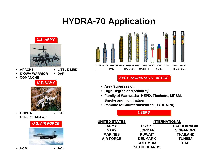## **HYDRA-70 Application**



- **APACHE**
- **LITTLE BIRD**
- **KIOWA WARRIOR**• **DAP**
- **COMANCHE**





- **COBRA**
- **F-18**
- **CH-60 SEAHAWK**

#### *U.S. AIR FORCE U.S. AIR FORCE*





#### *SYSTEM CHARA SYSTEM CHARACTERISTICS CTERISTICS*

- **Area Suppression**
- **High Degree of Modularity**
- **Family of Warheads: HEPD, Flechette, MPSM, Smoke and Illumination**
- **Immune to Countermeasures (HYDRA-70)**

*USERS USERS*

| UNITED STATES    | <b>INTERNATIONAL</b> |                     |  |  |
|------------------|----------------------|---------------------|--|--|
| <b>ARMY</b>      | <b>EGYPT</b>         | <b>SAUDI ARABIA</b> |  |  |
| <b>NAVY</b>      | <b>JORDAN</b>        | <b>SINGAPORE</b>    |  |  |
| <b>MARINES</b>   | <b>KUWAIT</b>        | <b>THAILAND</b>     |  |  |
| <b>AIR FORCE</b> | <b>DENMARK</b>       | <b>TUNISIA</b>      |  |  |
|                  | <b>COLUMBIA</b>      | <b>UAE</b>          |  |  |
|                  | <b>NETHERLANDS</b>   |                     |  |  |

• **F-16**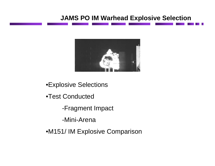### **JAMS PO IM Warhead Explosive Selection**



•Explosive Selections

- •Test Conducted
	- -Fragment Impact

-Mini-Arena

•M151/ IM Explosive Comparison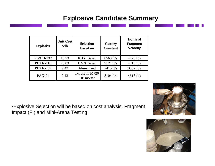## **Explosive Candidate Summary**

| <b>Explosive</b> | <b>Unit Cost</b><br>\$/lb | <b>Selection</b><br>based on | <b>Gurney</b><br><b>Constant</b> | <b>Nominal</b><br><b>Fragment</b><br><b>Velocity</b> |
|------------------|---------------------------|------------------------------|----------------------------------|------------------------------------------------------|
| <b>PBXIH-137</b> | 10.73                     | <b>RDX</b> Based             | $8563$ ft/s                      | $4120$ ft/s                                          |
| <b>PBXN-110</b>  | 20.03                     | <b>HMX</b> Based             | $9121$ ft/s                      | $4710$ ft/s                                          |
| <b>PBXN-109</b>  | 9.42                      | Aluminized                   | 7415 $ft/s$                      | $3532$ ft/s                                          |
| $PAX-21$         | 9.13                      | IM use in M720<br>HE mortar  | $8104$ ft/s                      | $4618$ ft/s                                          |





•Explosive Selection will be based on cost analysis, Fragment Impact (FI) and Mini-Arena Testing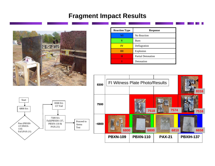#### **Fragment Impact Results**



| <b>Reaction Type</b> | <b>Response</b>           |  |
|----------------------|---------------------------|--|
| VI                   | No Reaction               |  |
|                      | <b>Burn</b>               |  |
| IV                   | Deflagration              |  |
| Ш                    | Explosion                 |  |
| н                    | <b>Partial Detonation</b> |  |
|                      | Detonation                |  |



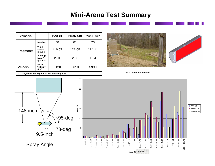#### **Mini-Arena Test Summary**

| <b>Explosive</b>                              |                                            | <b>PAX-21</b> | <b>PBXN-110</b> | <b>PBXIH-137</b> |
|-----------------------------------------------|--------------------------------------------|---------------|-----------------|------------------|
| <b>Fragments</b>                              | Number*                                    | 58            | 81              | 73               |
|                                               | Total<br>Mass*<br>(grams)                  | 116.67        | 121.05          | 114.11           |
|                                               | Average<br>Mass*<br>(grams)                | 2.01          | 2.03            | 1.94             |
| Velocity                                      | Initial<br>Velocity<br>(t <sub>t</sub> /s) | 6120          | 6610            | 5990             |
| * This ignores the fragments below 0.05-grams |                                            |               |                 |                  |





**Total Mass Recovered**

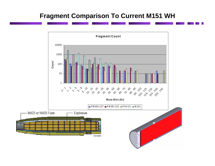### **Fragment Comparison To Current M151 WH**